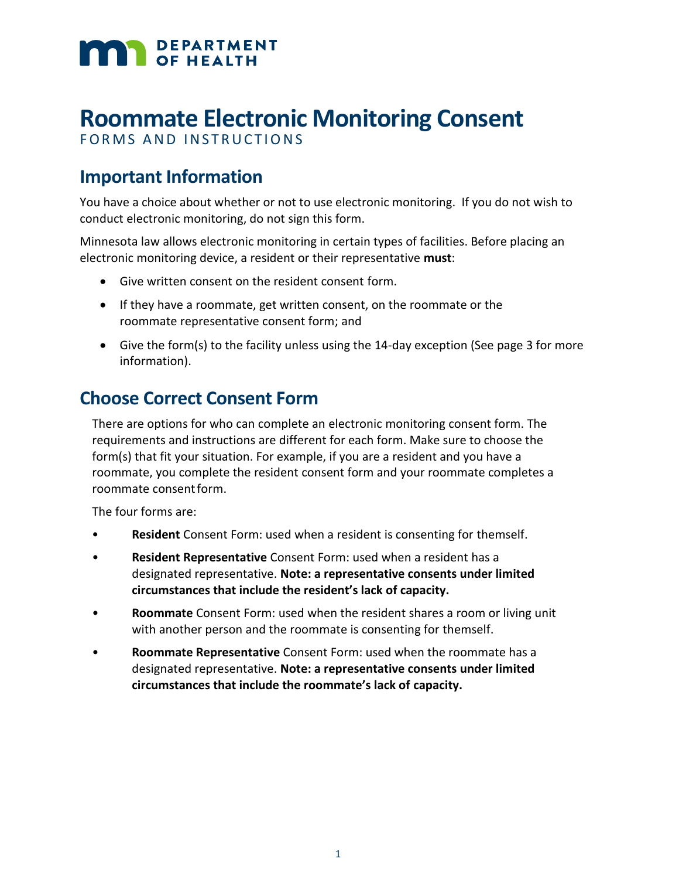# **MAN** DEPARTMENT

# **Roommate Electronic Monitoring Consent**

FORMS AND INSTRUCTIONS

# **Important Information**

You have a choice about whether or not to use electronic monitoring. If you do not wish to conduct electronic monitoring, do not sign this form.

Minnesota law allows electronic monitoring in certain types of facilities. Before placing an electronic monitoring device, a resident or their representative **must**:

- Give written consent on the resident consent form.
- If they have a roommate, get written consent, on the roommate or the roommate representative consent form; and
- Give the form(s) to the facility unless using the 14-day exception (See page 3 for more information).

# **Choose Correct Consent Form**

There are options for who can complete an electronic monitoring consent form. The requirements and instructions are different for each form. Make sure to choose the form(s) that fit your situation. For example, if you are a resident and you have a roommate, you complete the resident consent form and your roommate completes a roommate consentform.

The four forms are:

- **Resident** Consent Form: used when a resident is consenting for themself.
- **Resident Representative** Consent Form: used when a resident has a designated representative. **Note: a representative consents under limited circumstances that include the resident's lack of capacity.**
- **Roommate** Consent Form: used when the resident shares a room or living unit with another person and the roommate is consenting for themself.
- **Roommate Representative** Consent Form: used when the roommate has a designated representative. **Note: a representative consents under limited circumstances that include the roommate's lack of capacity.**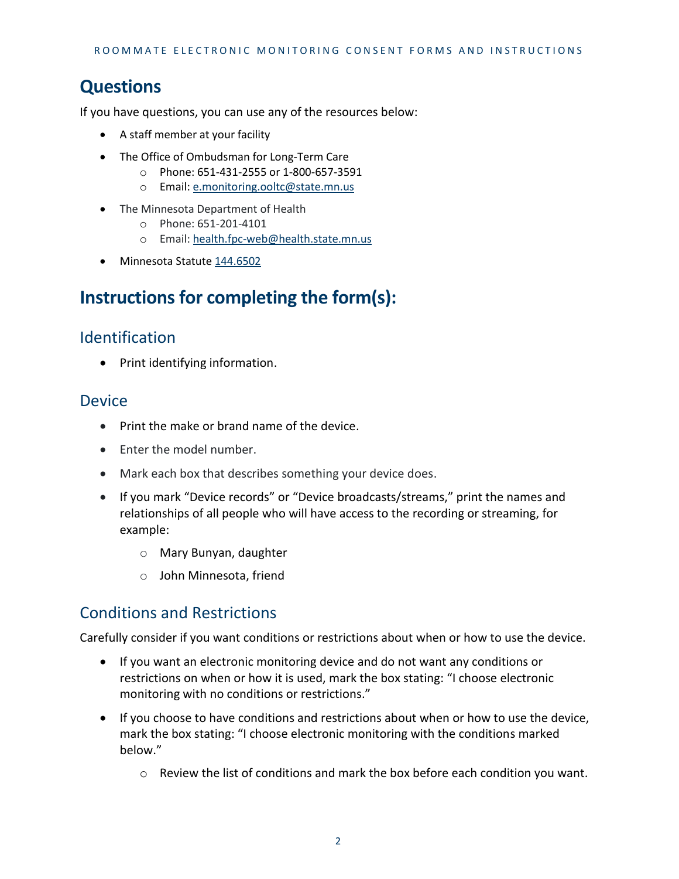# **Questions**

If you have questions, you can use any of the resources below:

- A staff member at your facility
- The Office of Ombudsman for Long-Term Care
	- o Phone: 651-431-2555 or 1-800-657-3591
	- o Email: [e.monitoring.ooltc@state.mn.us](mailto:e.monitoring.ooltc@state.mn.us)
- The Minnesota Department of Health
	- o Phone: 651-201-4101
	- o Email: [health.fpc-web@health.state.mn.us](mailto:health.fpc-web@health.state.mn.us)
- Minnesota Statut[e 144.6502](https://www.revisor.mn.gov/statutes/cite/144.6502)

## **Instructions for completing the form(s):**

#### Identification

• Print identifying information.

#### Device

- Print the make or brand name of the device.
- Enter the model number.
- Mark each box that describes something your device does.
- If you mark "Device records" or "Device broadcasts/streams," print the names and relationships of all people who will have access to the recording or streaming, for example:
	- o Mary Bunyan, daughter
	- o John Minnesota, friend

#### Conditions and Restrictions

Carefully consider if you want conditions or restrictions about when or how to use the device.

- If you want an electronic monitoring device and do not want any conditions or restrictions on when or how it is used, mark the box stating: "I choose electronic monitoring with no conditions or restrictions."
- If you choose to have conditions and restrictions about when or how to use the device, mark the box stating: "I choose electronic monitoring with the conditions marked below."
	- $\circ$  Review the list of conditions and mark the box before each condition you want.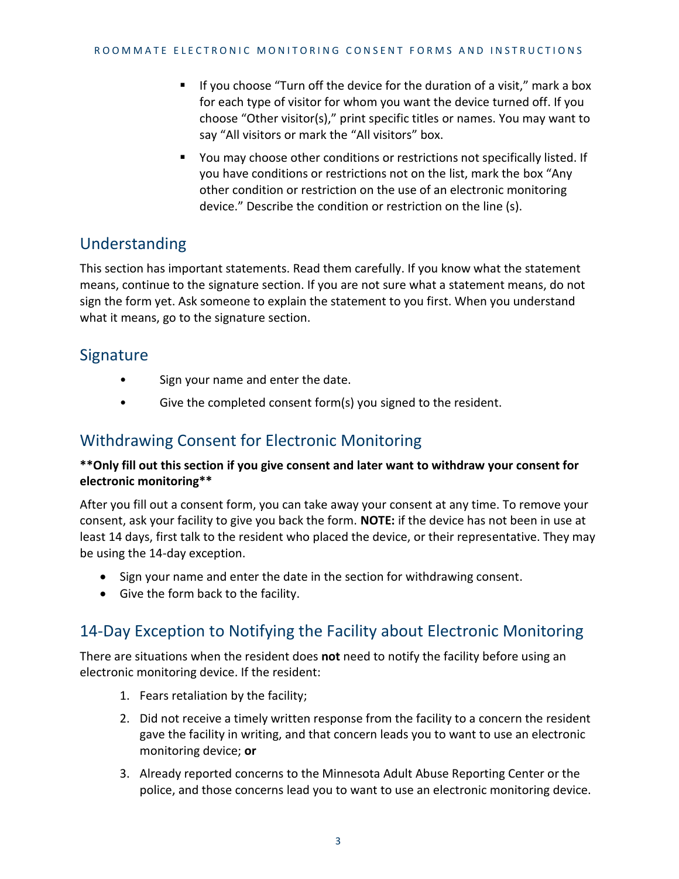- **If you choose "Turn off the device for the duration of a visit," mark a box** for each type of visitor for whom you want the device turned off. If you choose "Other visitor(s)," print specific titles or names. You may want to say "All visitors or mark the "All visitors" box.
- You may choose other conditions or restrictions not specifically listed. If you have conditions or restrictions not on the list, mark the box "Any other condition or restriction on the use of an electronic monitoring device." Describe the condition or restriction on the line (s).

#### Understanding

This section has important statements. Read them carefully. If you know what the statement means, continue to the signature section. If you are not sure what a statement means, do not sign the form yet. Ask someone to explain the statement to you first. When you understand what it means, go to the signature section.

#### Signature

- Sign your name and enter the date.
- Give the completed consent form(s) you signed to the resident.

#### Withdrawing Consent for Electronic Monitoring

#### **\*\*Only fill out this section if you give consent and later want to withdraw your consent for electronic monitoring\*\***

After you fill out a consent form, you can take away your consent at any time. To remove your consent, ask your facility to give you back the form. **NOTE:** if the device has not been in use at least 14 days, first talk to the resident who placed the device, or their representative. They may be using the 14-day exception.

- Sign your name and enter the date in the section for withdrawing consent.
- Give the form back to the facility.

#### 14-Day Exception to Notifying the Facility about Electronic Monitoring

There are situations when the resident does **not** need to notify the facility before using an electronic monitoring device. If the resident:

- 1. Fears retaliation by the facility;
- 2. Did not receive a timely written response from the facility to a concern the resident gave the facility in writing, and that concern leads you to want to use an electronic monitoring device; **or**
- 3. Already reported concerns to the Minnesota Adult Abuse Reporting Center or the police, and those concerns lead you to want to use an electronic monitoring device.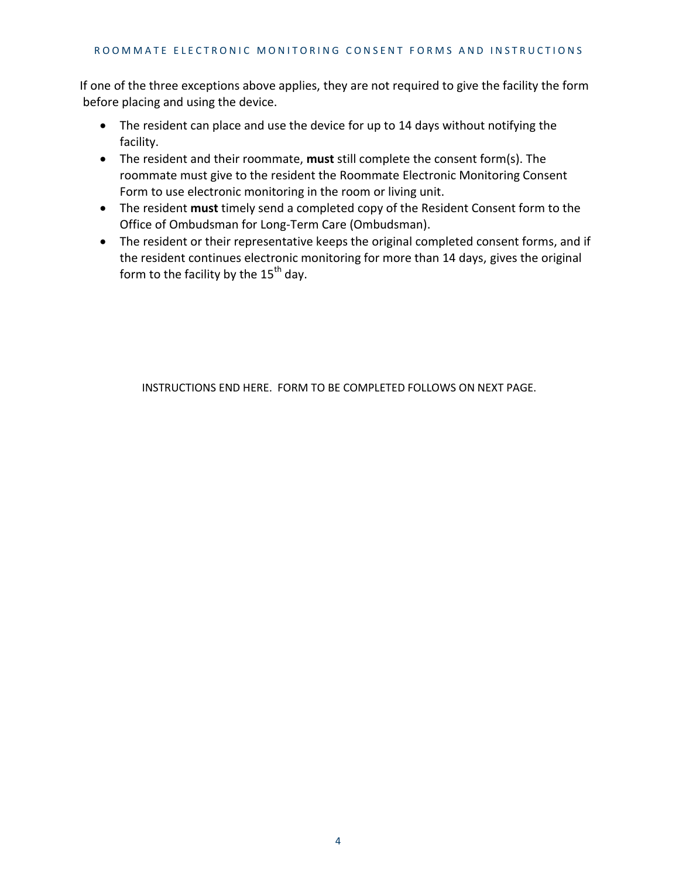If one of the three exceptions above applies, they are not required to give the facility the form before placing and using the device.

- The resident can place and use the device for up to 14 days without notifying the facility.
- The resident and their roommate, **must** still complete the consent form(s). The roommate must give to the resident the Roommate Electronic Monitoring Consent Form to use electronic monitoring in the room or living unit.
- The resident **must** timely send a completed copy of the Resident Consent form to the Office of Ombudsman for Long-Term Care (Ombudsman).
- The resident or their representative keeps the original completed consent forms, and if the resident continues electronic monitoring for more than 14 days, gives the original form to the facility by the  $15<sup>th</sup>$  day.

INSTRUCTIONS END HERE. FORM TO BE COMPLETED FOLLOWS ON NEXT PAGE.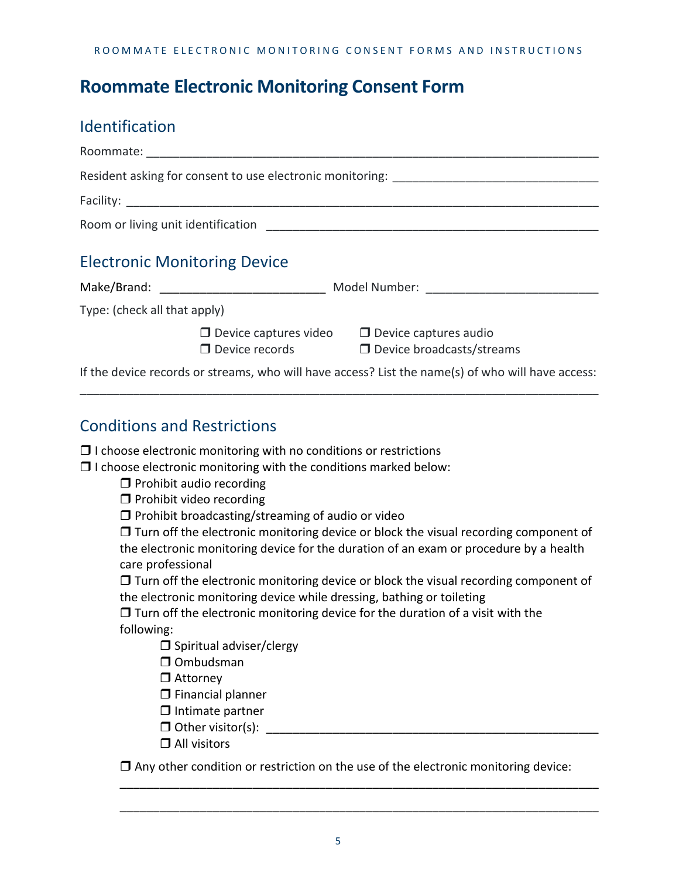### **Roommate Electronic Monitoring Consent Form**

#### Identification

|                                                                                   |  | Resident asking for consent to use electronic monitoring: _______________________                                   |  |
|-----------------------------------------------------------------------------------|--|---------------------------------------------------------------------------------------------------------------------|--|
|                                                                                   |  |                                                                                                                     |  |
|                                                                                   |  |                                                                                                                     |  |
| <b>Electronic Monitoring Device</b>                                               |  |                                                                                                                     |  |
| Make/Brand: __________________________________ Model Number: ____________________ |  |                                                                                                                     |  |
| Type: (check all that apply)                                                      |  |                                                                                                                     |  |
|                                                                                   |  | $\Box$ Device captures video $\Box$ Device captures audio<br>$\Box$ Device records $\Box$ Device broadcasts/streams |  |
|                                                                                   |  | If the device records or streams, who will have access? List the name(s) of who will have access:                   |  |

\_\_\_\_\_\_\_\_\_\_\_\_\_\_\_\_\_\_\_\_\_\_\_\_\_\_\_\_\_\_\_\_\_\_\_\_\_\_\_\_\_\_\_\_\_\_\_\_\_\_\_\_\_\_\_\_\_\_\_\_\_\_\_\_\_\_\_\_\_\_\_\_\_\_\_\_\_\_

#### Conditions and Restrictions

| $\Box$ I choose electronic monitoring with no conditions or restrictions |  |  |  |
|--------------------------------------------------------------------------|--|--|--|
|--------------------------------------------------------------------------|--|--|--|

 $\Box$  I choose electronic monitoring with the conditions marked below:

 $\Box$  Prohibit audio recording

 $\Box$  Prohibit video recording

 $\Box$  Prohibit broadcasting/streaming of audio or video

 $\Box$  Turn off the electronic monitoring device or block the visual recording component of the electronic monitoring device for the duration of an exam or procedure by a health care professional

 $\Box$  Turn off the electronic monitoring device or block the visual recording component of the electronic monitoring device while dressing, bathing or toileting

 $\Box$  Turn off the electronic monitoring device for the duration of a visit with the following:

 $\square$  Spiritual adviser/clergy

 $\Box$  Ombudsman

□ Attorney

 $\square$  Financial planner

- $\Box$  Intimate partner
- $\Box$  Other visitor(s):
- □ All visitors

 $\Box$  Any other condition or restriction on the use of the electronic monitoring device:

\_\_\_\_\_\_\_\_\_\_\_\_\_\_\_\_\_\_\_\_\_\_\_\_\_\_\_\_\_\_\_\_\_\_\_\_\_\_\_\_\_\_\_\_\_\_\_\_\_\_\_\_\_\_\_\_\_\_\_\_\_\_\_\_\_\_\_\_\_\_\_\_

\_\_\_\_\_\_\_\_\_\_\_\_\_\_\_\_\_\_\_\_\_\_\_\_\_\_\_\_\_\_\_\_\_\_\_\_\_\_\_\_\_\_\_\_\_\_\_\_\_\_\_\_\_\_\_\_\_\_\_\_\_\_\_\_\_\_\_\_\_\_\_\_